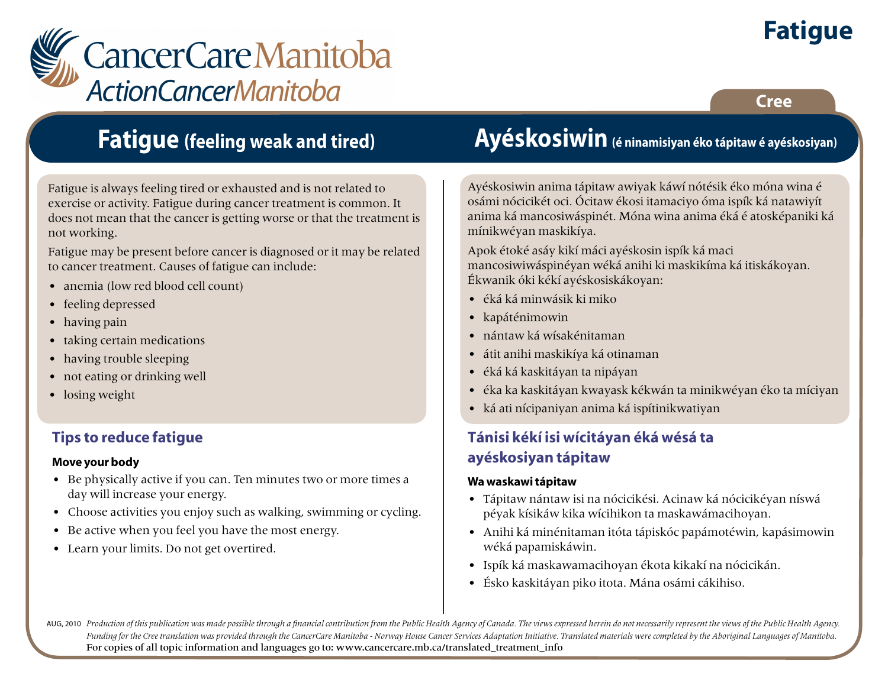

**Cree**



### **Fatigue (feeling weak and tired)**

Fatigue is always feeling tired or exhausted and is not related to exercise or activity. Fatigue during cancer treatment is common. It does not mean that the cancer is getting worse or that the treatment is not working.

Fatigue may be present before cancer is diagnosed or it may be related to cancer treatment. Causes of fatigue can include:

- anemia (low red blood cell count)
- feeling depressed
- having pain
- taking certain medications
- having trouble sleeping
- not eating or drinking well
- losing weight

### **Tips to reduce fatigue**

#### **Move your body**

- Be physically active if you can. Ten minutes two or more times a day will increase your energy.
- Choose activities you enjoy such as walking, swimming or cycling.
- Be active when you feel you have the most energy.
- Learn your limits. Do not get overtired.

## **Ayéskosiwin (é ninamisiyan éko tápitaw é ayéskosiyan)**

Ayéskosiwin anima tápitaw awiyak káwí nótésik éko móna wina é osámi nócicikét oci. Ócitaw ékosi itamaciyo óma ispík ká natawiyít anima ká mancosiwáspinét. Móna wina anima éká é atosképaniki ká mínikwéyan maskikíya.

Apok étoké asáy kikí máci ayéskosin ispík ká maci mancosiwiwáspinéyan wéká anihi ki maskikíma ká itiskákoyan. Ékwanik óki kékí ayéskosiskákoyan:

- éká ká minwásik ki miko
- kapáténimowin
- nántaw ká wísakénitaman
- átit anihi maskikíya ká otinaman
- éká ká kaskitáyan ta nipáyan
- éka ka kaskitáyan kwayask kékwán ta minikwéyan éko ta míciyan
- ká ati nícipaniyan anima ká ispítinikwatiyan

### **Tánisi kékí isi wícitáyan éká wésá ta ayéskosiyan tápitaw**

#### **Wa waskawi tápitaw**

- Tápitaw nántaw isi na nócicikési. Acinaw ká nócicikéyan níswá péyak kísikáw kika wícihikon ta maskawámacihoyan.
- Anihi ká minénitaman itóta tápiskóc papámotéwin, kapásimowin wéká papamiskáwin.
- Ispík ká maskawamacihoyan ékota kikakí na nócicikán.
- Ésko kaskitáyan piko itota. Mána osámi cákihiso.

AUG, 2010 Production of this publication was made possible through a financial contribution from the Public Health Agency of Canada. The views expressed herein do not necessarily represent the views of the Public Health Ag *Funding for the Cree translation was provided through the CancerCare Manitoba - Norway House Cancer Services Adaptation Initiative. Translated materials were completed by the Aboriginal Languages of Manitoba.* For copies of all topic information and languages go to: www.cancercare.mb.ca/translated\_treatment\_info